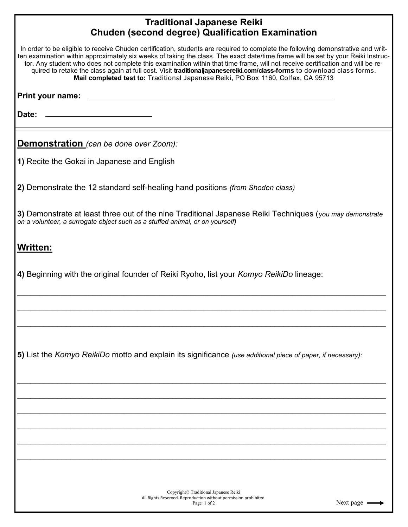## **Traditional Japanese Reiki Chuden (second degree) Qualification Examination**

| In order to be eligible to receive Chuden certification, students are required to complete the following demonstrative and writ-<br>ten examination within approximately six weeks of taking the class. The exact date/time frame will be set by your Reiki Instruc-<br>tor. Any student who does not complete this examination within that time frame, will not receive certification and will be re-<br>quired to retake the class again at full cost. Visit traditionaljapanesereiki.com/class-forms to download class forms.<br>Mail completed test to: Traditional Japanese Reiki, PO Box 1160, Colfax, CA 95713 |
|-----------------------------------------------------------------------------------------------------------------------------------------------------------------------------------------------------------------------------------------------------------------------------------------------------------------------------------------------------------------------------------------------------------------------------------------------------------------------------------------------------------------------------------------------------------------------------------------------------------------------|
| Print your name:                                                                                                                                                                                                                                                                                                                                                                                                                                                                                                                                                                                                      |
| Date:                                                                                                                                                                                                                                                                                                                                                                                                                                                                                                                                                                                                                 |
| <b>Demonstration</b> (can be done over Zoom):                                                                                                                                                                                                                                                                                                                                                                                                                                                                                                                                                                         |
| 1) Recite the Gokai in Japanese and English                                                                                                                                                                                                                                                                                                                                                                                                                                                                                                                                                                           |
| 2) Demonstrate the 12 standard self-healing hand positions (from Shoden class)                                                                                                                                                                                                                                                                                                                                                                                                                                                                                                                                        |
| 3) Demonstrate at least three out of the nine Traditional Japanese Reiki Techniques (you may demonstrate<br>on a volunteer, a surrogate object such as a stuffed animal, or on yourself)                                                                                                                                                                                                                                                                                                                                                                                                                              |
| <b>Written:</b>                                                                                                                                                                                                                                                                                                                                                                                                                                                                                                                                                                                                       |
| 4) Beginning with the original founder of Reiki Ryoho, list your Komyo ReikiDo lineage:                                                                                                                                                                                                                                                                                                                                                                                                                                                                                                                               |
|                                                                                                                                                                                                                                                                                                                                                                                                                                                                                                                                                                                                                       |
|                                                                                                                                                                                                                                                                                                                                                                                                                                                                                                                                                                                                                       |
| 5) List the Komyo ReikiDo motto and explain its significance (use additional piece of paper, if necessary):                                                                                                                                                                                                                                                                                                                                                                                                                                                                                                           |
|                                                                                                                                                                                                                                                                                                                                                                                                                                                                                                                                                                                                                       |
|                                                                                                                                                                                                                                                                                                                                                                                                                                                                                                                                                                                                                       |
|                                                                                                                                                                                                                                                                                                                                                                                                                                                                                                                                                                                                                       |
|                                                                                                                                                                                                                                                                                                                                                                                                                                                                                                                                                                                                                       |
| Copyright© Traditional Japanese Reiki                                                                                                                                                                                                                                                                                                                                                                                                                                                                                                                                                                                 |
| All Rights Reserved, Reproduction without permission probibited                                                                                                                                                                                                                                                                                                                                                                                                                                                                                                                                                       |